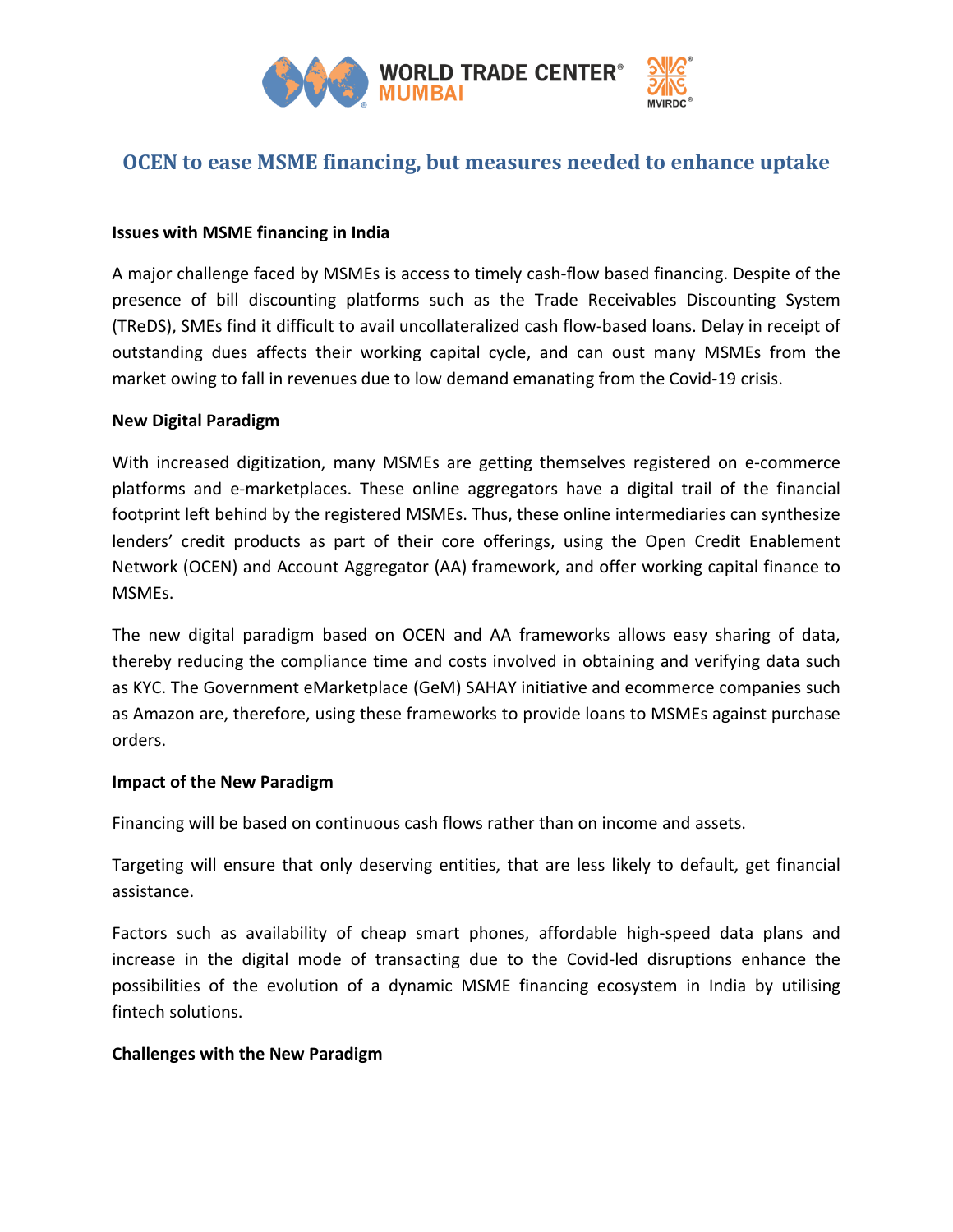

# **OCEN to ease MSME financing, but measures needed to enhance uptake**

### **Issues with MSME financing in India**

A major challenge faced by MSMEs is access to timely cash-flow based financing. Despite of the presence of bill discounting platforms such as the Trade Receivables Discounting System (TReDS), SMEs find it difficult to avail uncollateralized cash flow-based loans. Delay in receipt of outstanding dues affects their working capital cycle, and can oust many MSMEs from the market owing to fall in revenues due to low demand emanating from the Covid-19 crisis.

### **New Digital Paradigm**

With increased digitization, many MSMEs are getting themselves registered on e-commerce platforms and e-marketplaces. These online aggregators have a digital trail of the financial footprint left behind by the registered MSMEs. Thus, these online intermediaries can synthesize lenders' credit products as part of their core offerings, using the Open Credit Enablement Network (OCEN) and Account Aggregator (AA) framework, and offer working capital finance to MSMEs.

The new digital paradigm based on OCEN and AA frameworks allows easy sharing of data, thereby reducing the compliance time and costs involved in obtaining and verifying data such as KYC. The Government eMarketplace (GeM) SAHAY initiative and ecommerce companies such as Amazon are, therefore, using these frameworks to provide loans to MSMEs against purchase orders.

### **Impact of the New Paradigm**

Financing will be based on continuous cash flows rather than on income and assets.

Targeting will ensure that only deserving entities, that are less likely to default, get financial assistance.

Factors such as availability of cheap smart phones, affordable high-speed data plans and increase in the digital mode of transacting due to the Covid-led disruptions enhance the possibilities of the evolution of a dynamic MSME financing ecosystem in India by utilising fintech solutions.

### **Challenges with the New Paradigm**